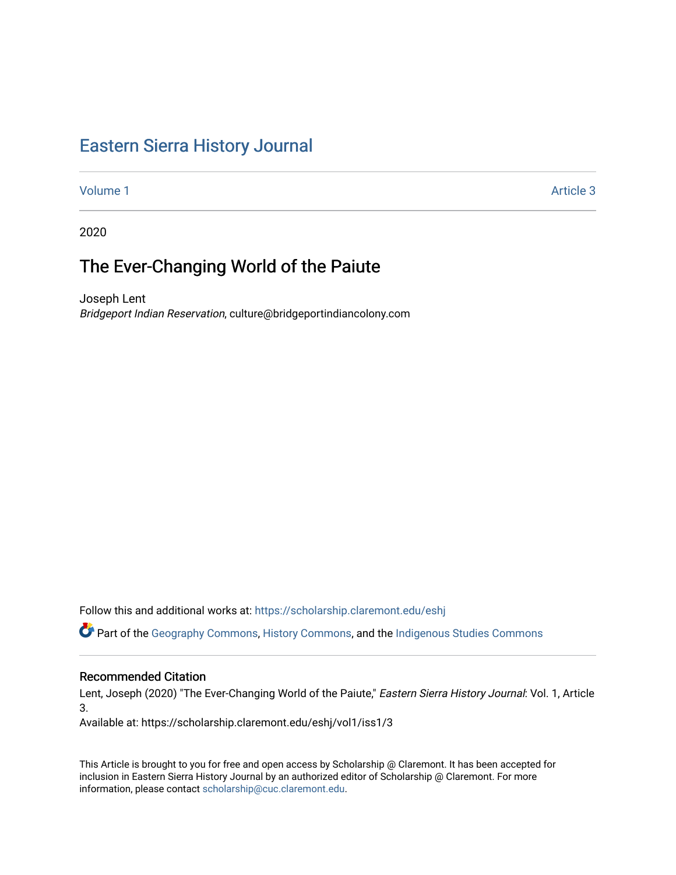## [Eastern Sierra History Journal](https://scholarship.claremont.edu/eshj)

[Volume 1](https://scholarship.claremont.edu/eshj/vol1) Article 3

2020

# The Ever-Changing World of the Paiute

Joseph Lent Bridgeport Indian Reservation, culture@bridgeportindiancolony.com

Follow this and additional works at: [https://scholarship.claremont.edu/eshj](https://scholarship.claremont.edu/eshj?utm_source=scholarship.claremont.edu%2Feshj%2Fvol1%2Fiss1%2F3&utm_medium=PDF&utm_campaign=PDFCoverPages) 

Part of the [Geography Commons,](http://network.bepress.com/hgg/discipline/354?utm_source=scholarship.claremont.edu%2Feshj%2Fvol1%2Fiss1%2F3&utm_medium=PDF&utm_campaign=PDFCoverPages) [History Commons,](http://network.bepress.com/hgg/discipline/489?utm_source=scholarship.claremont.edu%2Feshj%2Fvol1%2Fiss1%2F3&utm_medium=PDF&utm_campaign=PDFCoverPages) and the [Indigenous Studies Commons](http://network.bepress.com/hgg/discipline/571?utm_source=scholarship.claremont.edu%2Feshj%2Fvol1%2Fiss1%2F3&utm_medium=PDF&utm_campaign=PDFCoverPages) 

#### Recommended Citation

Lent, Joseph (2020) "The Ever-Changing World of the Paiute," Eastern Sierra History Journal: Vol. 1, Article 3.

Available at: https://scholarship.claremont.edu/eshj/vol1/iss1/3

This Article is brought to you for free and open access by Scholarship @ Claremont. It has been accepted for inclusion in Eastern Sierra History Journal by an authorized editor of Scholarship @ Claremont. For more information, please contact [scholarship@cuc.claremont.edu](mailto:scholarship@cuc.claremont.edu).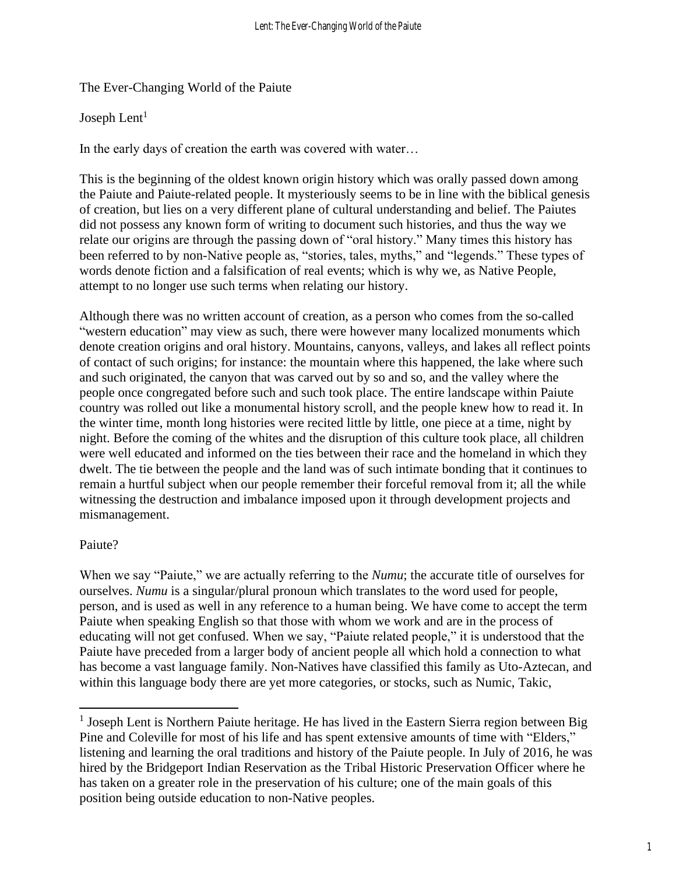## The Ever-Changing World of the Paiute

## Joseph Lent $<sup>1</sup>$ </sup>

In the early days of creation the earth was covered with water…

This is the beginning of the oldest known origin history which was orally passed down among the Paiute and Paiute-related people. It mysteriously seems to be in line with the biblical genesis of creation, but lies on a very different plane of cultural understanding and belief. The Paiutes did not possess any known form of writing to document such histories, and thus the way we relate our origins are through the passing down of "oral history." Many times this history has been referred to by non-Native people as, "stories, tales, myths," and "legends." These types of words denote fiction and a falsification of real events; which is why we, as Native People, attempt to no longer use such terms when relating our history.

Although there was no written account of creation, as a person who comes from the so-called "western education" may view as such, there were however many localized monuments which denote creation origins and oral history. Mountains, canyons, valleys, and lakes all reflect points of contact of such origins; for instance: the mountain where this happened, the lake where such and such originated, the canyon that was carved out by so and so, and the valley where the people once congregated before such and such took place. The entire landscape within Paiute country was rolled out like a monumental history scroll, and the people knew how to read it. In the winter time, month long histories were recited little by little, one piece at a time, night by night. Before the coming of the whites and the disruption of this culture took place, all children were well educated and informed on the ties between their race and the homeland in which they dwelt. The tie between the people and the land was of such intimate bonding that it continues to remain a hurtful subject when our people remember their forceful removal from it; all the while witnessing the destruction and imbalance imposed upon it through development projects and mismanagement.

## Paiute?

When we say "Paiute," we are actually referring to the *Numu*; the accurate title of ourselves for ourselves. *Numu* is a singular/plural pronoun which translates to the word used for people, person, and is used as well in any reference to a human being. We have come to accept the term Paiute when speaking English so that those with whom we work and are in the process of educating will not get confused. When we say, "Paiute related people," it is understood that the Paiute have preceded from a larger body of ancient people all which hold a connection to what has become a vast language family. Non-Natives have classified this family as Uto-Aztecan, and within this language body there are yet more categories, or stocks, such as Numic, Takic,

<sup>&</sup>lt;sup>1</sup> Joseph Lent is Northern Paiute heritage. He has lived in the Eastern Sierra region between Big Pine and Coleville for most of his life and has spent extensive amounts of time with "Elders," listening and learning the oral traditions and history of the Paiute people. In July of 2016, he was hired by the Bridgeport Indian Reservation as the Tribal Historic Preservation Officer where he has taken on a greater role in the preservation of his culture; one of the main goals of this position being outside education to non-Native peoples.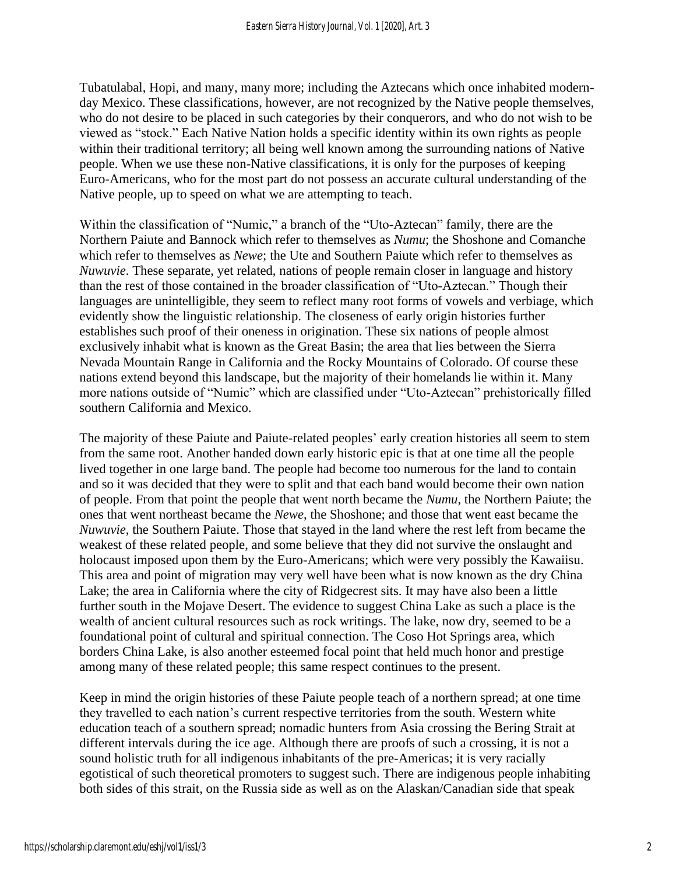Tubatulabal, Hopi, and many, many more; including the Aztecans which once inhabited modernday Mexico. These classifications, however, are not recognized by the Native people themselves, who do not desire to be placed in such categories by their conquerors, and who do not wish to be viewed as "stock." Each Native Nation holds a specific identity within its own rights as people within their traditional territory; all being well known among the surrounding nations of Native people. When we use these non-Native classifications, it is only for the purposes of keeping Euro-Americans, who for the most part do not possess an accurate cultural understanding of the Native people, up to speed on what we are attempting to teach.

Within the classification of "Numic," a branch of the "Uto-Aztecan" family, there are the Northern Paiute and Bannock which refer to themselves as *Numu*; the Shoshone and Comanche which refer to themselves as *Newe*; the Ute and Southern Paiute which refer to themselves as *Nuwuvie*. These separate, yet related, nations of people remain closer in language and history than the rest of those contained in the broader classification of "Uto-Aztecan." Though their languages are unintelligible, they seem to reflect many root forms of vowels and verbiage, which evidently show the linguistic relationship. The closeness of early origin histories further establishes such proof of their oneness in origination. These six nations of people almost exclusively inhabit what is known as the Great Basin; the area that lies between the Sierra Nevada Mountain Range in California and the Rocky Mountains of Colorado. Of course these nations extend beyond this landscape, but the majority of their homelands lie within it. Many more nations outside of "Numic" which are classified under "Uto-Aztecan" prehistorically filled southern California and Mexico.

The majority of these Paiute and Paiute-related peoples' early creation histories all seem to stem from the same root. Another handed down early historic epic is that at one time all the people lived together in one large band. The people had become too numerous for the land to contain and so it was decided that they were to split and that each band would become their own nation of people. From that point the people that went north became the *Numu*, the Northern Paiute; the ones that went northeast became the *Newe*, the Shoshone; and those that went east became the *Nuwuvie*, the Southern Paiute. Those that stayed in the land where the rest left from became the weakest of these related people, and some believe that they did not survive the onslaught and holocaust imposed upon them by the Euro-Americans; which were very possibly the Kawaiisu. This area and point of migration may very well have been what is now known as the dry China Lake; the area in California where the city of Ridgecrest sits. It may have also been a little further south in the Mojave Desert. The evidence to suggest China Lake as such a place is the wealth of ancient cultural resources such as rock writings. The lake, now dry, seemed to be a foundational point of cultural and spiritual connection. The Coso Hot Springs area, which borders China Lake, is also another esteemed focal point that held much honor and prestige among many of these related people; this same respect continues to the present.

Keep in mind the origin histories of these Paiute people teach of a northern spread; at one time they travelled to each nation's current respective territories from the south. Western white education teach of a southern spread; nomadic hunters from Asia crossing the Bering Strait at different intervals during the ice age. Although there are proofs of such a crossing, it is not a sound holistic truth for all indigenous inhabitants of the pre-Americas; it is very racially egotistical of such theoretical promoters to suggest such. There are indigenous people inhabiting both sides of this strait, on the Russia side as well as on the Alaskan/Canadian side that speak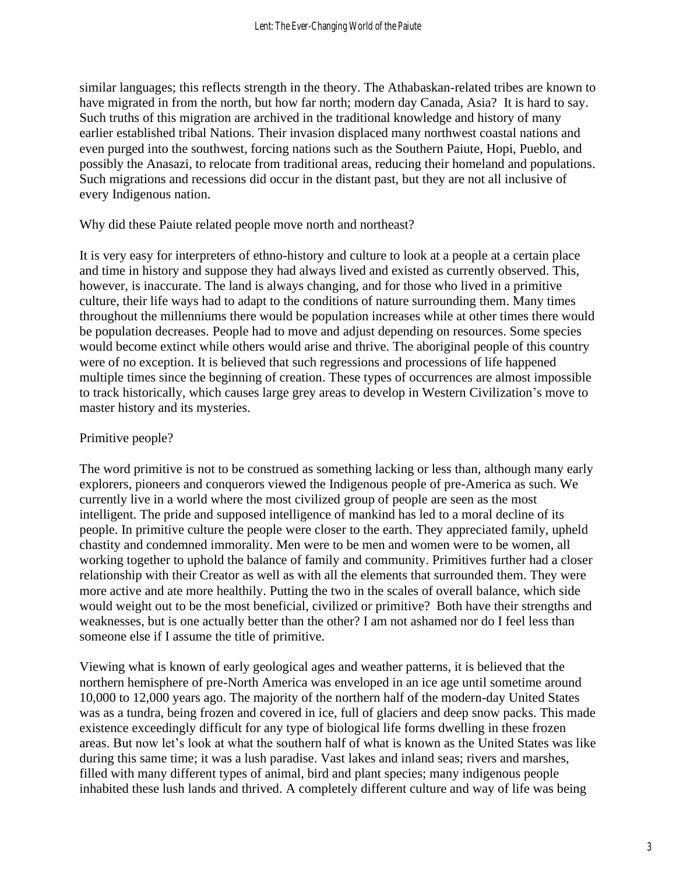similar languages; this reflects strength in the theory. The Athabaskan-related tribes are known to have migrated in from the north, but how far north; modern day Canada, Asia? It is hard to say. Such truths of this migration are archived in the traditional knowledge and history of many earlier established tribal Nations. Their invasion displaced many northwest coastal nations and even purged into the southwest, forcing nations such as the Southern Paiute, Hopi, Pueblo, and possibly the Anasazi, to relocate from traditional areas, reducing their homeland and populations. Such migrations and recessions did occur in the distant past, but they are not all inclusive of every Indigenous nation.

## Why did these Paiute related people move north and northeast?

It is very easy for interpreters of ethno-history and culture to look at a people at a certain place and time in history and suppose they had always lived and existed as currently observed. This, however, is inaccurate. The land is always changing, and for those who lived in a primitive culture, their life ways had to adapt to the conditions of nature surrounding them. Many times throughout the millenniums there would be population increases while at other times there would be population decreases. People had to move and adjust depending on resources. Some species would become extinct while others would arise and thrive. The aboriginal people of this country were of no exception. It is believed that such regressions and processions of life happened multiple times since the beginning of creation. These types of occurrences are almost impossible to track historically, which causes large grey areas to develop in Western Civilization's move to master history and its mysteries.

## Primitive people?

The word primitive is not to be construed as something lacking or less than, although many early explorers, pioneers and conquerors viewed the Indigenous people of pre-America as such. We currently live in a world where the most civilized group of people are seen as the most intelligent. The pride and supposed intelligence of mankind has led to a moral decline of its people. In primitive culture the people were closer to the earth. They appreciated family, upheld chastity and condemned immorality. Men were to be men and women were to be women, all working together to uphold the balance of family and community. Primitives further had a closer relationship with their Creator as well as with all the elements that surrounded them. They were more active and ate more healthily. Putting the two in the scales of overall balance, which side would weight out to be the most beneficial, civilized or primitive? Both have their strengths and weaknesses, but is one actually better than the other? I am not ashamed nor do I feel less than someone else if I assume the title of primitive.

Viewing what is known of early geological ages and weather patterns, it is believed that the northern hemisphere of pre-North America was enveloped in an ice age until sometime around 10,000 to 12,000 years ago. The majority of the northern half of the modern-day United States was as a tundra, being frozen and covered in ice, full of glaciers and deep snow packs. This made existence exceedingly difficult for any type of biological life forms dwelling in these frozen areas. But now let's look at what the southern half of what is known as the United States was like during this same time; it was a lush paradise. Vast lakes and inland seas; rivers and marshes, filled with many different types of animal, bird and plant species; many indigenous people inhabited these lush lands and thrived. A completely different culture and way of life was being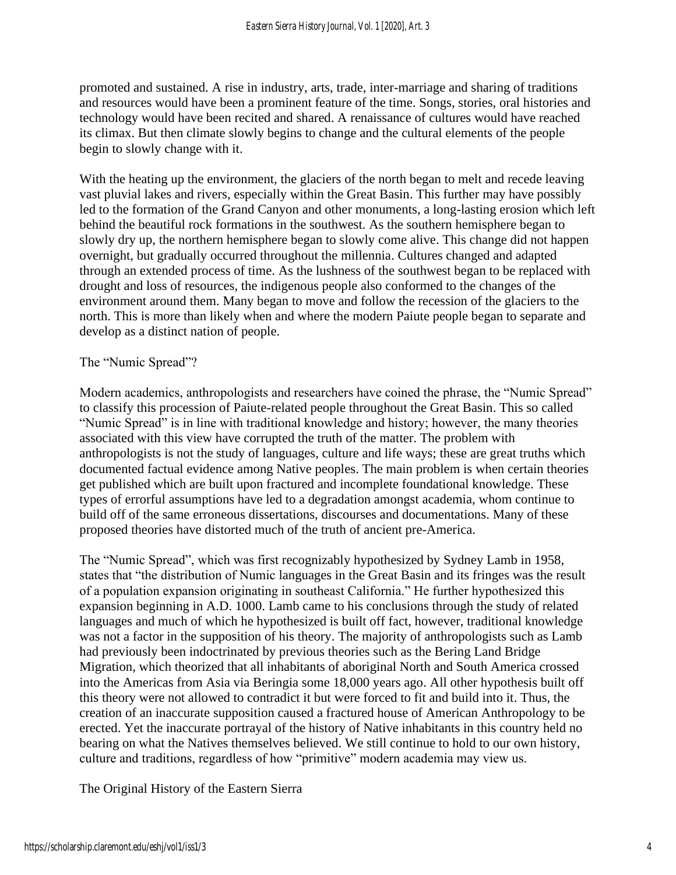promoted and sustained. A rise in industry, arts, trade, inter-marriage and sharing of traditions and resources would have been a prominent feature of the time. Songs, stories, oral histories and technology would have been recited and shared. A renaissance of cultures would have reached its climax. But then climate slowly begins to change and the cultural elements of the people begin to slowly change with it.

With the heating up the environment, the glaciers of the north began to melt and recede leaving vast pluvial lakes and rivers, especially within the Great Basin. This further may have possibly led to the formation of the Grand Canyon and other monuments, a long-lasting erosion which left behind the beautiful rock formations in the southwest. As the southern hemisphere began to slowly dry up, the northern hemisphere began to slowly come alive. This change did not happen overnight, but gradually occurred throughout the millennia. Cultures changed and adapted through an extended process of time. As the lushness of the southwest began to be replaced with drought and loss of resources, the indigenous people also conformed to the changes of the environment around them. Many began to move and follow the recession of the glaciers to the north. This is more than likely when and where the modern Paiute people began to separate and develop as a distinct nation of people.

## The "Numic Spread"?

Modern academics, anthropologists and researchers have coined the phrase, the "Numic Spread" to classify this procession of Paiute-related people throughout the Great Basin. This so called "Numic Spread" is in line with traditional knowledge and history; however, the many theories associated with this view have corrupted the truth of the matter. The problem with anthropologists is not the study of languages, culture and life ways; these are great truths which documented factual evidence among Native peoples. The main problem is when certain theories get published which are built upon fractured and incomplete foundational knowledge. These types of errorful assumptions have led to a degradation amongst academia, whom continue to build off of the same erroneous dissertations, discourses and documentations. Many of these proposed theories have distorted much of the truth of ancient pre-America.

The "Numic Spread", which was first recognizably hypothesized by Sydney Lamb in 1958, states that "the distribution of Numic languages in the Great Basin and its fringes was the result of a population expansion originating in southeast California." He further hypothesized this expansion beginning in A.D. 1000. Lamb came to his conclusions through the study of related languages and much of which he hypothesized is built off fact, however, traditional knowledge was not a factor in the supposition of his theory. The majority of anthropologists such as Lamb had previously been indoctrinated by previous theories such as the Bering Land Bridge Migration, which theorized that all inhabitants of aboriginal North and South America crossed into the Americas from Asia via Beringia some 18,000 years ago. All other hypothesis built off this theory were not allowed to contradict it but were forced to fit and build into it. Thus, the creation of an inaccurate supposition caused a fractured house of American Anthropology to be erected. Yet the inaccurate portrayal of the history of Native inhabitants in this country held no bearing on what the Natives themselves believed. We still continue to hold to our own history, culture and traditions, regardless of how "primitive" modern academia may view us.

The Original History of the Eastern Sierra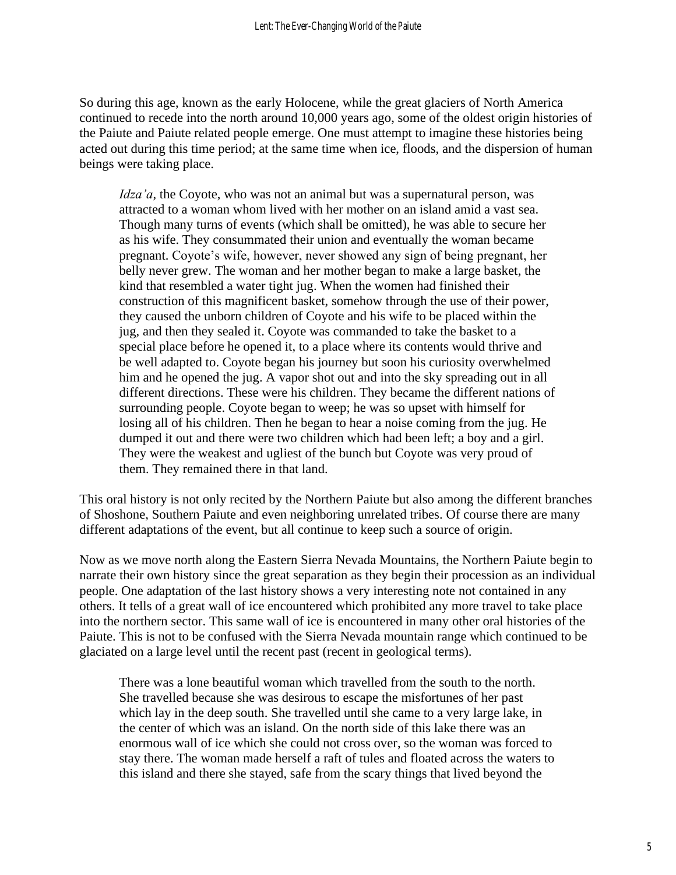So during this age, known as the early Holocene, while the great glaciers of North America continued to recede into the north around 10,000 years ago, some of the oldest origin histories of the Paiute and Paiute related people emerge. One must attempt to imagine these histories being acted out during this time period; at the same time when ice, floods, and the dispersion of human beings were taking place.

*Idza'a*, the Coyote, who was not an animal but was a supernatural person, was attracted to a woman whom lived with her mother on an island amid a vast sea. Though many turns of events (which shall be omitted), he was able to secure her as his wife. They consummated their union and eventually the woman became pregnant. Coyote's wife, however, never showed any sign of being pregnant, her belly never grew. The woman and her mother began to make a large basket, the kind that resembled a water tight jug. When the women had finished their construction of this magnificent basket, somehow through the use of their power, they caused the unborn children of Coyote and his wife to be placed within the jug, and then they sealed it. Coyote was commanded to take the basket to a special place before he opened it, to a place where its contents would thrive and be well adapted to. Coyote began his journey but soon his curiosity overwhelmed him and he opened the jug. A vapor shot out and into the sky spreading out in all different directions. These were his children. They became the different nations of surrounding people. Coyote began to weep; he was so upset with himself for losing all of his children. Then he began to hear a noise coming from the jug. He dumped it out and there were two children which had been left; a boy and a girl. They were the weakest and ugliest of the bunch but Coyote was very proud of them. They remained there in that land.

This oral history is not only recited by the Northern Paiute but also among the different branches of Shoshone, Southern Paiute and even neighboring unrelated tribes. Of course there are many different adaptations of the event, but all continue to keep such a source of origin.

Now as we move north along the Eastern Sierra Nevada Mountains, the Northern Paiute begin to narrate their own history since the great separation as they begin their procession as an individual people. One adaptation of the last history shows a very interesting note not contained in any others. It tells of a great wall of ice encountered which prohibited any more travel to take place into the northern sector. This same wall of ice is encountered in many other oral histories of the Paiute. This is not to be confused with the Sierra Nevada mountain range which continued to be glaciated on a large level until the recent past (recent in geological terms).

There was a lone beautiful woman which travelled from the south to the north. She travelled because she was desirous to escape the misfortunes of her past which lay in the deep south. She travelled until she came to a very large lake, in the center of which was an island. On the north side of this lake there was an enormous wall of ice which she could not cross over, so the woman was forced to stay there. The woman made herself a raft of tules and floated across the waters to this island and there she stayed, safe from the scary things that lived beyond the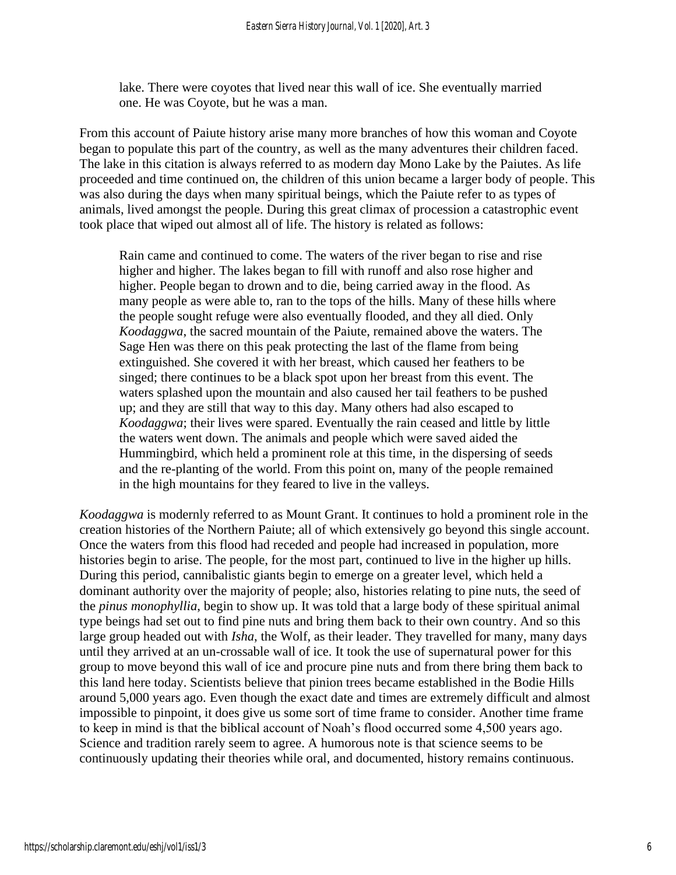lake. There were coyotes that lived near this wall of ice. She eventually married one. He was Coyote, but he was a man.

From this account of Paiute history arise many more branches of how this woman and Coyote began to populate this part of the country, as well as the many adventures their children faced. The lake in this citation is always referred to as modern day Mono Lake by the Paiutes. As life proceeded and time continued on, the children of this union became a larger body of people. This was also during the days when many spiritual beings, which the Paiute refer to as types of animals, lived amongst the people. During this great climax of procession a catastrophic event took place that wiped out almost all of life. The history is related as follows:

Rain came and continued to come. The waters of the river began to rise and rise higher and higher. The lakes began to fill with runoff and also rose higher and higher. People began to drown and to die, being carried away in the flood. As many people as were able to, ran to the tops of the hills. Many of these hills where the people sought refuge were also eventually flooded, and they all died. Only *Koodaggwa*, the sacred mountain of the Paiute, remained above the waters. The Sage Hen was there on this peak protecting the last of the flame from being extinguished. She covered it with her breast, which caused her feathers to be singed; there continues to be a black spot upon her breast from this event. The waters splashed upon the mountain and also caused her tail feathers to be pushed up; and they are still that way to this day. Many others had also escaped to *Koodaggwa*; their lives were spared. Eventually the rain ceased and little by little the waters went down. The animals and people which were saved aided the Hummingbird, which held a prominent role at this time, in the dispersing of seeds and the re-planting of the world. From this point on, many of the people remained in the high mountains for they feared to live in the valleys.

*Koodaggwa* is modernly referred to as Mount Grant. It continues to hold a prominent role in the creation histories of the Northern Paiute; all of which extensively go beyond this single account. Once the waters from this flood had receded and people had increased in population, more histories begin to arise. The people, for the most part, continued to live in the higher up hills. During this period, cannibalistic giants begin to emerge on a greater level, which held a dominant authority over the majority of people; also, histories relating to pine nuts, the seed of the *pinus monophyllia*, begin to show up. It was told that a large body of these spiritual animal type beings had set out to find pine nuts and bring them back to their own country. And so this large group headed out with *Isha*, the Wolf, as their leader. They travelled for many, many days until they arrived at an un-crossable wall of ice. It took the use of supernatural power for this group to move beyond this wall of ice and procure pine nuts and from there bring them back to this land here today. Scientists believe that pinion trees became established in the Bodie Hills around 5,000 years ago. Even though the exact date and times are extremely difficult and almost impossible to pinpoint, it does give us some sort of time frame to consider. Another time frame to keep in mind is that the biblical account of Noah's flood occurred some 4,500 years ago. Science and tradition rarely seem to agree. A humorous note is that science seems to be continuously updating their theories while oral, and documented, history remains continuous.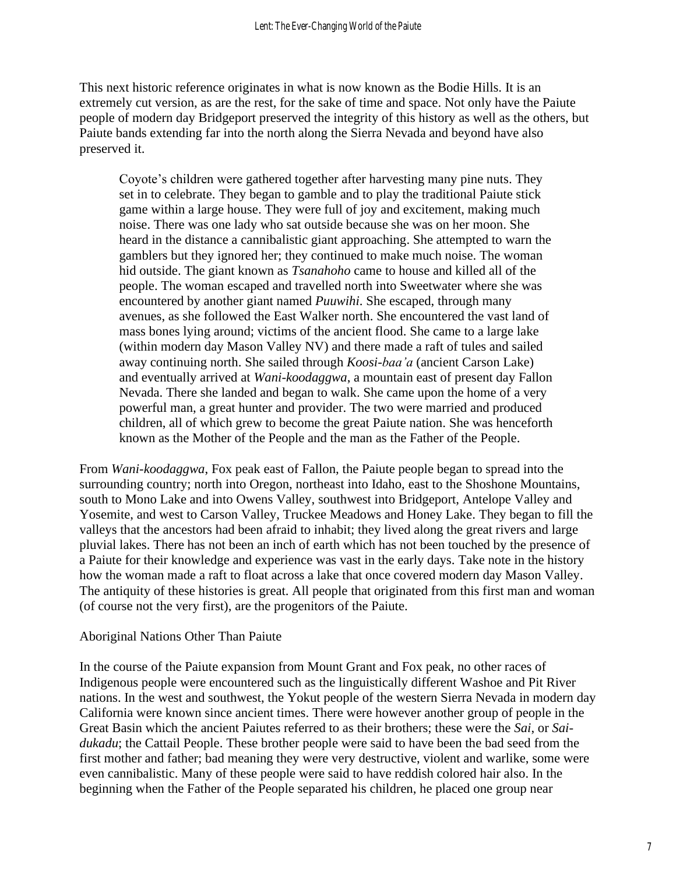This next historic reference originates in what is now known as the Bodie Hills. It is an extremely cut version, as are the rest, for the sake of time and space. Not only have the Paiute people of modern day Bridgeport preserved the integrity of this history as well as the others, but Paiute bands extending far into the north along the Sierra Nevada and beyond have also preserved it.

Coyote's children were gathered together after harvesting many pine nuts. They set in to celebrate. They began to gamble and to play the traditional Paiute stick game within a large house. They were full of joy and excitement, making much noise. There was one lady who sat outside because she was on her moon. She heard in the distance a cannibalistic giant approaching. She attempted to warn the gamblers but they ignored her; they continued to make much noise. The woman hid outside. The giant known as *Tsanahoho* came to house and killed all of the people. The woman escaped and travelled north into Sweetwater where she was encountered by another giant named *Puuwihi*. She escaped, through many avenues, as she followed the East Walker north. She encountered the vast land of mass bones lying around; victims of the ancient flood. She came to a large lake (within modern day Mason Valley NV) and there made a raft of tules and sailed away continuing north. She sailed through *Koosi-baa'a* (ancient Carson Lake) and eventually arrived at *Wani-koodaggwa*, a mountain east of present day Fallon Nevada. There she landed and began to walk. She came upon the home of a very powerful man, a great hunter and provider. The two were married and produced children, all of which grew to become the great Paiute nation. She was henceforth known as the Mother of the People and the man as the Father of the People.

From *Wani-koodaggwa*, Fox peak east of Fallon, the Paiute people began to spread into the surrounding country; north into Oregon, northeast into Idaho, east to the Shoshone Mountains, south to Mono Lake and into Owens Valley, southwest into Bridgeport, Antelope Valley and Yosemite, and west to Carson Valley, Truckee Meadows and Honey Lake. They began to fill the valleys that the ancestors had been afraid to inhabit; they lived along the great rivers and large pluvial lakes. There has not been an inch of earth which has not been touched by the presence of a Paiute for their knowledge and experience was vast in the early days. Take note in the history how the woman made a raft to float across a lake that once covered modern day Mason Valley. The antiquity of these histories is great. All people that originated from this first man and woman (of course not the very first), are the progenitors of the Paiute.

## Aboriginal Nations Other Than Paiute

In the course of the Paiute expansion from Mount Grant and Fox peak, no other races of Indigenous people were encountered such as the linguistically different Washoe and Pit River nations. In the west and southwest, the Yokut people of the western Sierra Nevada in modern day California were known since ancient times. There were however another group of people in the Great Basin which the ancient Paiutes referred to as their brothers; these were the *Sai*, or *Saidukadu*; the Cattail People. These brother people were said to have been the bad seed from the first mother and father; bad meaning they were very destructive, violent and warlike, some were even cannibalistic. Many of these people were said to have reddish colored hair also. In the beginning when the Father of the People separated his children, he placed one group near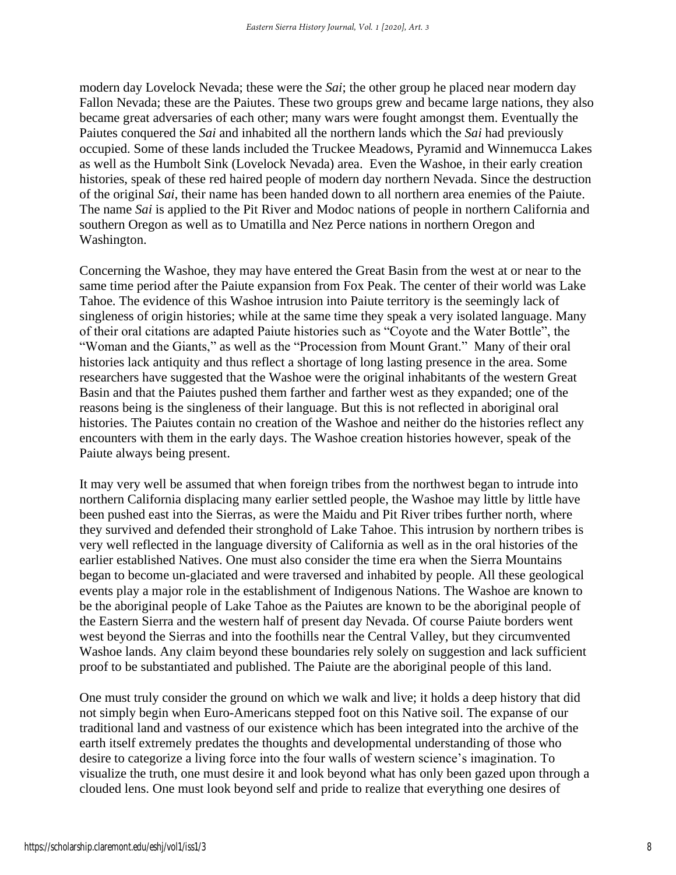modern day Lovelock Nevada; these were the *Sai*; the other group he placed near modern day Fallon Nevada; these are the Paiutes. These two groups grew and became large nations, they also became great adversaries of each other; many wars were fought amongst them. Eventually the Paiutes conquered the *Sai* and inhabited all the northern lands which the *Sai* had previously occupied. Some of these lands included the Truckee Meadows, Pyramid and Winnemucca Lakes as well as the Humbolt Sink (Lovelock Nevada) area. Even the Washoe, in their early creation histories, speak of these red haired people of modern day northern Nevada. Since the destruction of the original *Sai*, their name has been handed down to all northern area enemies of the Paiute. The name *Sai* is applied to the Pit River and Modoc nations of people in northern California and southern Oregon as well as to Umatilla and Nez Perce nations in northern Oregon and Washington.

Concerning the Washoe, they may have entered the Great Basin from the west at or near to the same time period after the Paiute expansion from Fox Peak. The center of their world was Lake Tahoe. The evidence of this Washoe intrusion into Paiute territory is the seemingly lack of singleness of origin histories; while at the same time they speak a very isolated language. Many of their oral citations are adapted Paiute histories such as "Coyote and the Water Bottle", the "Woman and the Giants," as well as the "Procession from Mount Grant." Many of their oral histories lack antiquity and thus reflect a shortage of long lasting presence in the area. Some researchers have suggested that the Washoe were the original inhabitants of the western Great Basin and that the Paiutes pushed them farther and farther west as they expanded; one of the reasons being is the singleness of their language. But this is not reflected in aboriginal oral histories. The Paiutes contain no creation of the Washoe and neither do the histories reflect any encounters with them in the early days. The Washoe creation histories however, speak of the Paiute always being present.

It may very well be assumed that when foreign tribes from the northwest began to intrude into northern California displacing many earlier settled people, the Washoe may little by little have been pushed east into the Sierras, as were the Maidu and Pit River tribes further north, where they survived and defended their stronghold of Lake Tahoe. This intrusion by northern tribes is very well reflected in the language diversity of California as well as in the oral histories of the earlier established Natives. One must also consider the time era when the Sierra Mountains began to become un-glaciated and were traversed and inhabited by people. All these geological events play a major role in the establishment of Indigenous Nations. The Washoe are known to be the aboriginal people of Lake Tahoe as the Paiutes are known to be the aboriginal people of the Eastern Sierra and the western half of present day Nevada. Of course Paiute borders went west beyond the Sierras and into the foothills near the Central Valley, but they circumvented Washoe lands. Any claim beyond these boundaries rely solely on suggestion and lack sufficient proof to be substantiated and published. The Paiute are the aboriginal people of this land.

One must truly consider the ground on which we walk and live; it holds a deep history that did not simply begin when Euro-Americans stepped foot on this Native soil. The expanse of our traditional land and vastness of our existence which has been integrated into the archive of the earth itself extremely predates the thoughts and developmental understanding of those who desire to categorize a living force into the four walls of western science's imagination. To visualize the truth, one must desire it and look beyond what has only been gazed upon through a clouded lens. One must look beyond self and pride to realize that everything one desires of